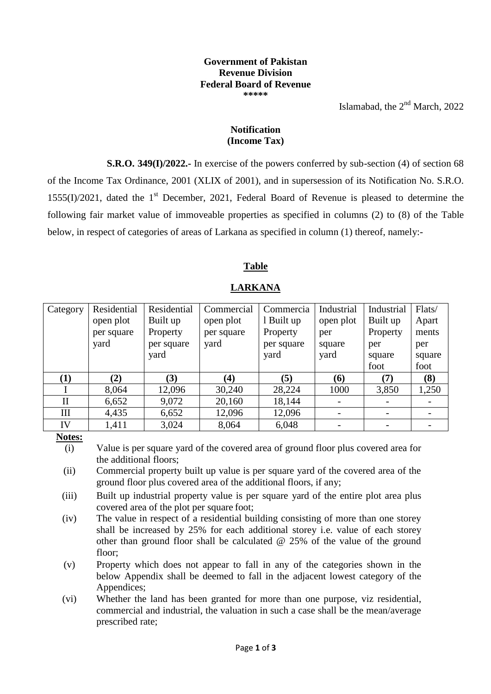#### **Government of Pakistan Revenue Division Federal Board of Revenue \*\*\*\*\***

Islamabad, the  $2<sup>nd</sup>$  March, 2022

#### **Notification (Income Tax)**

**S.R.O. 349(I)/2022.-** In exercise of the powers conferred by sub-section (4) of section 68 of the Income Tax Ordinance, 2001 (XLIX of 2001), and in supersession of its Notification No. S.R.O.  $1555(I)/2021$ , dated the 1<sup>st</sup> December, 2021, Federal Board of Revenue is pleased to determine the following fair market value of immoveable properties as specified in columns (2) to (8) of the Table below, in respect of categories of areas of Larkana as specified in column (1) thereof, namely:-

### **Table**

| Category     | Residential | Residential | Commercial | Commercia  | Industrial | Industrial | Flats/ |
|--------------|-------------|-------------|------------|------------|------------|------------|--------|
|              | open plot   | Built up    | open plot  | 1 Built up | open plot  | Built up   | Apart  |
|              | per square  | Property    | per square | Property   | per        | Property   | ments  |
|              | yard        | per square  | yard       | per square | square     | per        | per    |
|              |             | yard        |            | yard       | yard       | square     | square |
|              |             |             |            |            |            | foot       | foot   |
| $\bf(1)$     | (2)         | (3)         | (4)        | (5)        | (6)        | (7)        | (8)    |
|              | 8,064       | 12,096      | 30,240     | 28,224     | 1000       | 3,850      | 1,250  |
| $\mathbf{I}$ | 6,652       | 9,072       | 20,160     | 18,144     |            |            |        |
| Ш            | 4,435       | 6,652       | 12,096     | 12,096     |            |            |        |
| IV           | 1,411       | 3,024       | 8,064      | 6,048      |            |            |        |

### **LARKANA**

#### **Notes:**

(i) Value is per square yard of the covered area of ground floor plus covered area for the additional floors;

- (ii) Commercial property built up value is per square yard of the covered area of the ground floor plus covered area of the additional floors, if any;
- (iii) Built up industrial property value is per square yard of the entire plot area plus covered area of the plot per square foot;
- (iv) The value in respect of a residential building consisting of more than one storey shall be increased by 25% for each additional storey i.e. value of each storey other than ground floor shall be calculated @ 25% of the value of the ground floor;
- (v) Property which does not appear to fall in any of the categories shown in the below Appendix shall be deemed to fall in the adjacent lowest category of the Appendices;
- (vi) Whether the land has been granted for more than one purpose, viz residential, commercial and industrial, the valuation in such a case shall be the mean/average prescribed rate;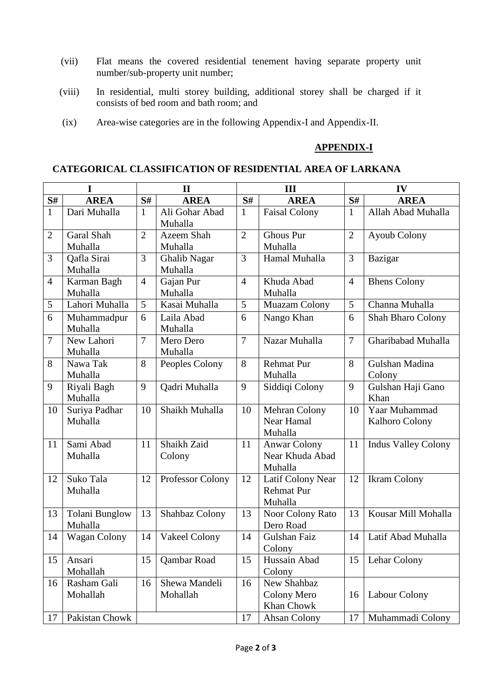- (vii) Flat means the covered residential tenement having separate property unit number/sub-property unit number;
- (viii) In residential, multi storey building, additional storey shall be charged if it consists of bed room and bath room; and
- (ix) Area-wise categories are in the following Appendix-I and Appendix-II.

#### **APPENDIX-I**

#### **CATEGORICAL CLASSIFICATION OF RESIDENTIAL AREA OF LARKANA**

| I                    |                                  | $\mathbf{I}$   |                                | III            |                                                   | IV             |                                        |  |
|----------------------|----------------------------------|----------------|--------------------------------|----------------|---------------------------------------------------|----------------|----------------------------------------|--|
| S#                   | <b>AREA</b>                      | S#             | <b>AREA</b>                    | S#             | <b>AREA</b>                                       | S#             | <b>AREA</b>                            |  |
| $\mathbf{1}$         | Dari Muhalla                     | $\mathbf{1}$   | Ali Gohar Abad<br>Muhalla      | $\mathbf{1}$   | Faisal Colony                                     | $\mathbf{1}$   | Allah Abad Muhalla                     |  |
| $\overline{2}$       | Garal Shah                       | $\overline{2}$ | Azeem Shah                     | $\overline{2}$ | <b>Ghous Pur</b>                                  | $\overline{2}$ | <b>Ayoub Colony</b>                    |  |
|                      | Muhalla                          |                | Muhalla                        |                | Muhalla                                           |                |                                        |  |
| 3                    | Qafla Sirai<br>Muhalla           | 3              | <b>Ghalib Nagar</b><br>Muhalla | 3              | Hamal Muhalla                                     | 3              | Bazigar                                |  |
| $\overline{4}$       | Karman Bagh                      | $\overline{4}$ | Gajan Pur                      | $\overline{4}$ | Khuda Abad                                        | $\overline{4}$ | <b>Bhens Colony</b>                    |  |
|                      | Muhalla                          |                | Muhalla                        |                | Muhalla                                           |                |                                        |  |
| 5                    | Lahori Muhalla                   | 5              | Kasai Muhalla                  | 5              | Muazam Colony                                     | 5              | Channa Muhalla                         |  |
| 6                    | Muhammadpur                      | 6              | Laila Abad                     | 6              | Nango Khan                                        | 6              | Shah Bharo Colony                      |  |
|                      | Muhalla                          |                | Muhalla                        |                |                                                   |                |                                        |  |
| $\overline{7}$       | New Lahori<br>Muhalla            | $\overline{7}$ | Mero Dero<br>Muhalla           | $\overline{7}$ | Nazar Muhalla                                     | $\overline{7}$ | Gharibabad Muhalla                     |  |
| 8                    | Nawa Tak                         | 8              | Peoples Colony                 | 8              | <b>Rehmat Pur</b>                                 | 8              | Gulshan Madina                         |  |
|                      | Muhalla                          |                |                                |                | Muhalla                                           |                | Colony                                 |  |
| 9                    | Riyali Bagh<br>Muhalla           | 9              | Qadri Muhalla                  | 9              | Siddiqi Colony                                    | 9              | Gulshan Haji Gano<br>Khan              |  |
| 10                   | Suriya Padhar<br>Muhalla         | 10             | Shaikh Muhalla                 | 10             | Mehran Colony<br>Near Hamal<br>Muhalla            | 10             | Yaar Muhammad<br><b>Kalhoro Colony</b> |  |
| 11                   | Sami Abad<br>Muhalla             | 11             | Shaikh Zaid<br>Colony          | 11             | <b>Anwar Colony</b><br>Near Khuda Abad<br>Muhalla | 11             | <b>Indus Valley Colony</b>             |  |
| 12                   | Suko Tala<br>Muhalla             | 12             | Professor Colony               | 12             | Latif Colony Near<br><b>Rehmat Pur</b><br>Muhalla | 12             | <b>Ikram Colony</b>                    |  |
| 13                   | <b>Tolani Bunglow</b><br>Muhalla | 13             | Shahbaz Colony                 | 13             | Noor Colony Rato<br>Dero Road                     | 13             | Kousar Mill Mohalla                    |  |
| 14                   | Wagan Colony                     | 14             | Vakeel Colony                  | 14             | Gulshan Faiz<br>Colony                            | 14             | Latif Abad Muhalla                     |  |
| 15                   | Ansari<br>Mohallah               | 15             | Qambar Road                    | 15             | Hussain Abad<br>Colony                            | 15             | Lehar Colony                           |  |
| 16                   | Rasham Gali<br>Mohallah          | 16             | Shewa Mandeli<br>Mohallah      | 16             | New Shahbaz<br>Colony Mero<br>Khan Chowk          | 16             | Labour Colony                          |  |
| Pakistan Chowk<br>17 |                                  |                |                                | 17             | Ahsan Colony                                      | 17             | Muhammadi Colony                       |  |